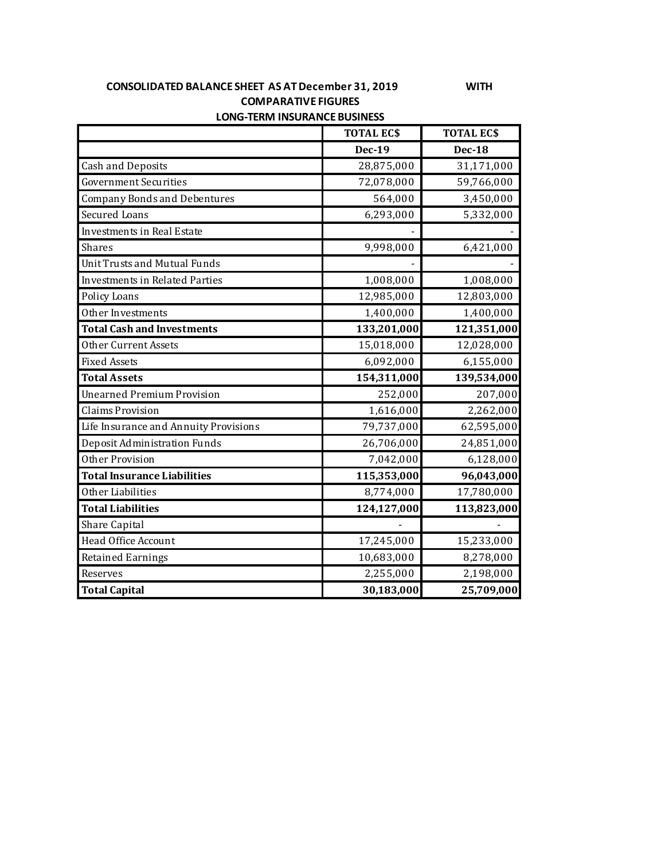## **CONSOLIDATED BALANCE SHEET AS AT December 31, 2019 WITH COMPARATIVE FIGURES LONG-TERM INSURANCE BUSINESS**

|                                       | <b>TOTAL ECS</b> | <b>TOTAL ECS</b> |
|---------------------------------------|------------------|------------------|
|                                       | <b>Dec-19</b>    | <b>Dec-18</b>    |
| <b>Cash and Deposits</b>              | 28,875,000       | 31,171,000       |
| <b>Government Securities</b>          | 72,078,000       | 59,766,000       |
| <b>Company Bonds and Debentures</b>   | 564,000          | 3,450,000        |
| <b>Secured Loans</b>                  | 6,293,000        | 5,332,000        |
| <b>Investments in Real Estate</b>     |                  |                  |
| Shares                                | 9,998,000        | 6,421,000        |
| <b>Unit Trusts and Mutual Funds</b>   |                  |                  |
| <b>Investments in Related Parties</b> | 1,008,000        | 1,008,000        |
| Policy Loans                          | 12,985,000       | 12,803,000       |
| Other Investments                     | 1,400,000        | 1,400,000        |
| <b>Total Cash and Investments</b>     | 133,201,000      | 121,351,000      |
| Other Current Assets                  | 15,018,000       | 12,028,000       |
| <b>Fixed Assets</b>                   | 6,092,000        | 6,155,000        |
| <b>Total Assets</b>                   | 154,311,000      | 139,534,000      |
| <b>Unearned Premium Provision</b>     | 252,000          | 207,000          |
| <b>Claims Provision</b>               | 1,616,000        | 2,262,000        |
| Life Insurance and Annuity Provisions | 79,737,000       | 62,595,000       |
| Deposit Administration Funds          | 26,706,000       | 24,851,000       |
| Other Provision                       | 7,042,000        | 6,128,000        |
| <b>Total Insurance Liabilities</b>    | 115,353,000      | 96,043,000       |
| Other Liabilities                     | 8,774,000        | 17,780,000       |
| <b>Total Liabilities</b>              | 124,127,000      | 113,823,000      |
| Share Capital                         |                  |                  |
| Head Office Account                   | 17,245,000       | 15,233,000       |
| <b>Retained Earnings</b>              | 10,683,000       | 8,278,000        |
| Reserves                              | 2,255,000        | 2,198,000        |
| <b>Total Capital</b>                  | 30,183,000       | 25,709,000       |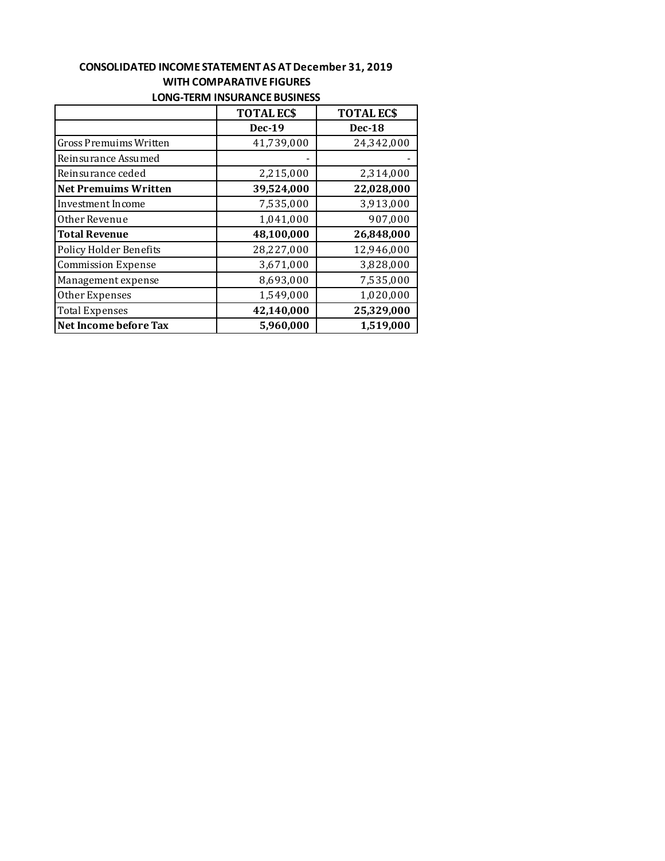## **CONSOLIDATED INCOME STATEMENT AS AT December 31, 2019 WITH COMPARATIVE FIGURES LONG-TERM INSURANCE BUSINESS**

|                               | <b>TOTAL ECS</b> | <b>TOTAL ECS</b> |
|-------------------------------|------------------|------------------|
|                               | <b>Dec-19</b>    | <b>Dec-18</b>    |
| <b>Gross Premuims Written</b> | 41,739,000       | 24,342,000       |
| Reinsurance Assumed           |                  |                  |
| Reinsurance ceded             | 2,215,000        | 2,314,000        |
| <b>Net Premuims Written</b>   | 39,524,000       | 22,028,000       |
| Investment Income             | 7,535,000        | 3,913,000        |
| Other Revenue                 | 1,041,000        | 907,000          |
| <b>Total Revenue</b>          | 48,100,000       | 26,848,000       |
| Policy Holder Benefits        | 28,227,000       | 12,946,000       |
| <b>Commission Expense</b>     | 3,671,000        | 3,828,000        |
| Management expense            | 8,693,000        | 7,535,000        |
| Other Expenses                | 1,549,000        | 1,020,000        |
| <b>Total Expenses</b>         | 42,140,000       | 25,329,000       |
| Net Income before Tax         | 5,960,000        | 1,519,000        |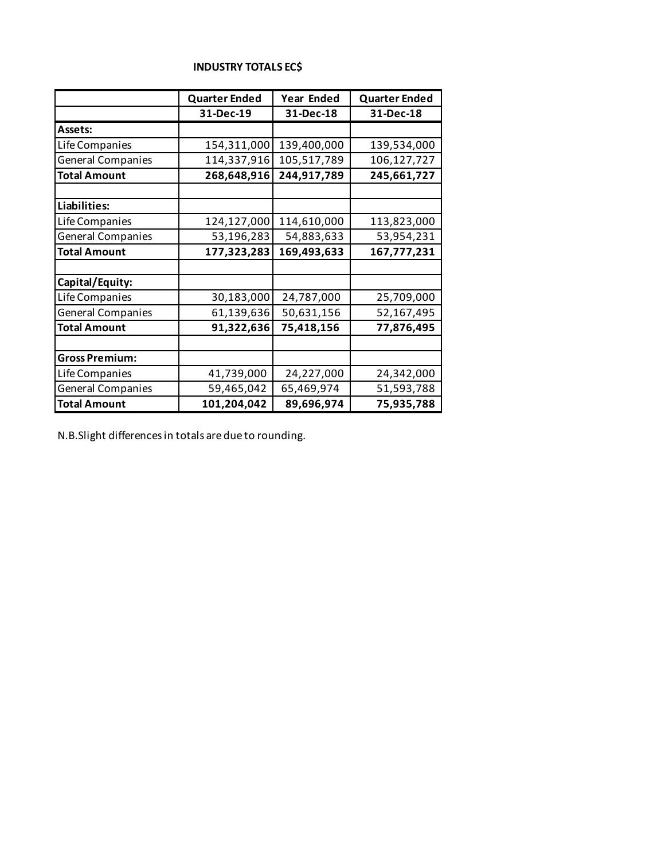|                          | <b>Quarter Ended</b> | <b>Year Ended</b> | <b>Quarter Ended</b> |
|--------------------------|----------------------|-------------------|----------------------|
|                          | 31-Dec-19            | 31-Dec-18         | 31-Dec-18            |
| Assets:                  |                      |                   |                      |
| Life Companies           | 154,311,000          | 139,400,000       | 139,534,000          |
| <b>General Companies</b> | 114,337,916          | 105,517,789       | 106,127,727          |
| <b>Total Amount</b>      | 268,648,916          | 244,917,789       | 245,661,727          |
|                          |                      |                   |                      |
| Liabilities:             |                      |                   |                      |
| Life Companies           | 124,127,000          | 114,610,000       | 113,823,000          |
| <b>General Companies</b> | 53,196,283           | 54,883,633        | 53,954,231           |
| <b>Total Amount</b>      | 177,323,283          | 169,493,633       | 167,777,231          |
|                          |                      |                   |                      |
| Capital/Equity:          |                      |                   |                      |
| Life Companies           | 30,183,000           | 24,787,000        | 25,709,000           |
| <b>General Companies</b> | 61,139,636           | 50,631,156        | 52,167,495           |
| <b>Total Amount</b>      | 91,322,636           | 75,418,156        | 77,876,495           |
|                          |                      |                   |                      |
| <b>Gross Premium:</b>    |                      |                   |                      |
| Life Companies           | 41,739,000           | 24,227,000        | 24,342,000           |
| <b>General Companies</b> | 59,465,042           | 65,469,974        | 51,593,788           |
| <b>Total Amount</b>      | 101,204,042          | 89,696,974        | 75,935,788           |

#### **INDUSTRY TOTALS EC\$**

٦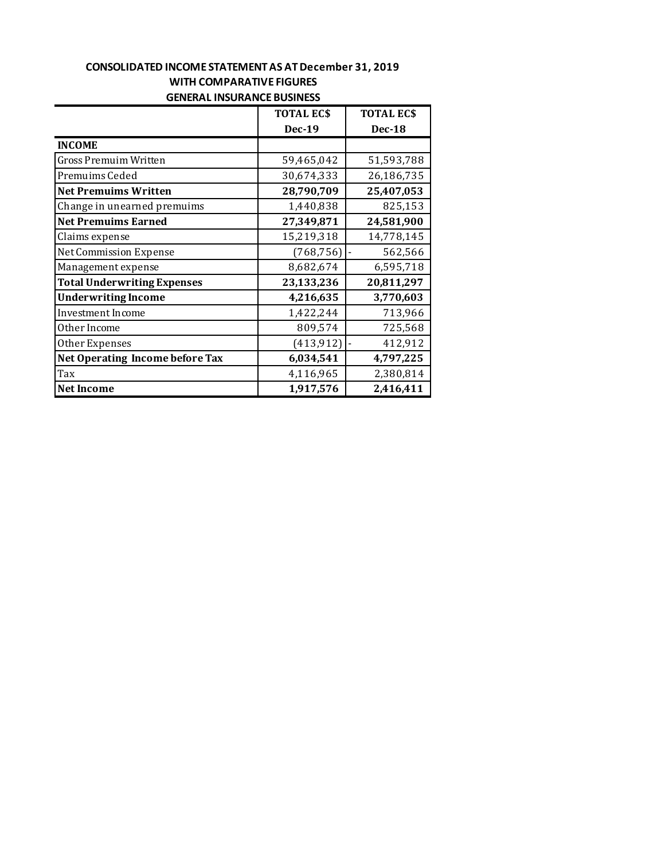## **CONSOLIDATED INCOME STATEMENT AS AT December 31, 2019 WITH COMPARATIVE FIGURES GENERAL INSURANCE BUSINESS**

|                                        | <b>TOTAL ECS</b> | <b>TOTAL ECS</b> |
|----------------------------------------|------------------|------------------|
|                                        | <b>Dec-19</b>    | <b>Dec-18</b>    |
| <b>INCOME</b>                          |                  |                  |
| <b>Gross Premuim Written</b>           | 59,465,042       | 51,593,788       |
| Premuims Ceded                         | 30,674,333       | 26,186,735       |
| <b>Net Premuims Written</b>            | 28,790,709       | 25,407,053       |
| Change in unearned premuims            | 1,440,838        | 825,153          |
| <b>Net Premuims Earned</b>             | 27,349,871       | 24,581,900       |
| Claims expense                         | 15,219,318       | 14,778,145       |
| Net Commission Expense                 | (768, 756)       | 562,566          |
| Management expense                     | 8,682,674        | 6,595,718        |
| <b>Total Underwriting Expenses</b>     | 23,133,236       | 20,811,297       |
| <b>Underwriting Income</b>             | 4,216,635        | 3,770,603        |
| Investment Income                      | 1,422,244        | 713,966          |
| Other Income                           | 809,574          | 725,568          |
| Other Expenses                         | (413, 912)       | 412,912          |
| <b>Net Operating Income before Tax</b> | 6,034,541        | 4,797,225        |
| Tax                                    | 4,116,965        | 2,380,814        |
| <b>Net Income</b>                      | 1,917,576        | 2,416,411        |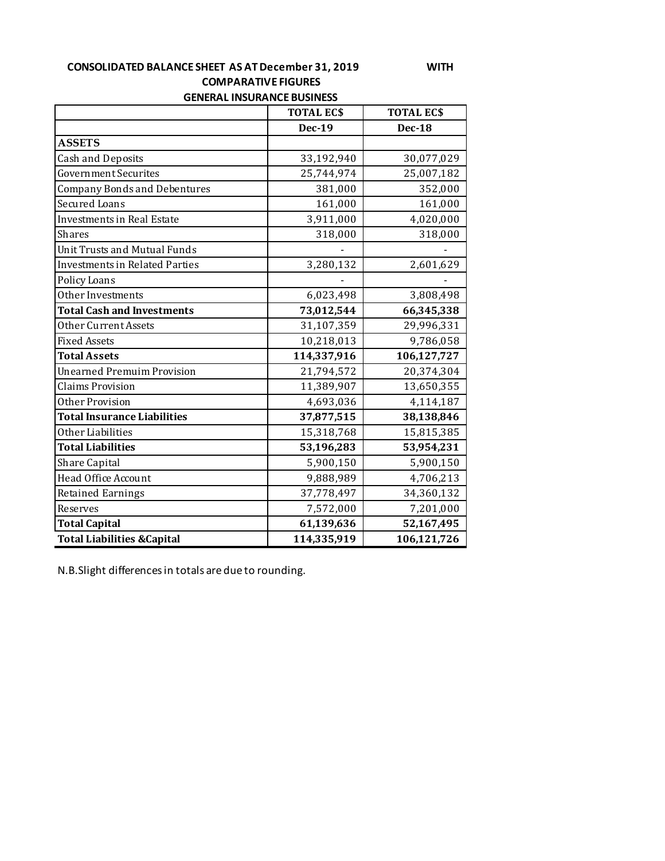## **CONSOLIDATED BALANCE SHEET AS AT December 31, 2019 WITH COMPARATIVE FIGURES GENERAL INSURANCE BUSINESS**

|                                        | <b>TOTAL ECS</b><br><b>TOTAL ECS</b> |               |  |
|----------------------------------------|--------------------------------------|---------------|--|
|                                        | <b>Dec-19</b>                        | <b>Dec-18</b> |  |
| <b>ASSETS</b>                          |                                      |               |  |
| <b>Cash and Deposits</b>               | 33,192,940                           | 30,077,029    |  |
| Government Securites                   | 25,744,974                           | 25,007,182    |  |
| <b>Company Bonds and Debentures</b>    | 381,000                              | 352,000       |  |
| <b>Secured Loans</b>                   | 161,000                              | 161,000       |  |
| <b>Investments in Real Estate</b>      | 3,911,000                            | 4,020,000     |  |
| <b>Shares</b>                          | 318,000                              | 318,000       |  |
| Unit Trusts and Mutual Funds           |                                      |               |  |
| <b>Investments in Related Parties</b>  | 3,280,132                            | 2,601,629     |  |
| Policy Loans                           |                                      |               |  |
| Other Investments                      | 6,023,498                            | 3,808,498     |  |
| <b>Total Cash and Investments</b>      | 73,012,544                           | 66,345,338    |  |
| Other Current Assets                   | 31,107,359                           | 29,996,331    |  |
| <b>Fixed Assets</b>                    | 10,218,013                           | 9,786,058     |  |
| <b>Total Assets</b>                    | 114,337,916                          | 106,127,727   |  |
| <b>Unearned Premuim Provision</b>      | 21,794,572                           | 20,374,304    |  |
| <b>Claims Provision</b>                | 11,389,907                           | 13,650,355    |  |
| Other Provision                        | 4,693,036                            | 4,114,187     |  |
| <b>Total Insurance Liabilities</b>     | 37,877,515                           | 38,138,846    |  |
| Other Liabilities                      | 15,318,768                           | 15,815,385    |  |
| <b>Total Liabilities</b>               | 53,196,283                           | 53,954,231    |  |
| <b>Share Capital</b>                   | 5,900,150                            | 5,900,150     |  |
| Head Office Account                    | 9,888,989                            | 4,706,213     |  |
| <b>Retained Earnings</b>               | 37,778,497                           | 34,360,132    |  |
| Reserves                               | 7,572,000                            | 7,201,000     |  |
| <b>Total Capital</b>                   | 61,139,636                           | 52,167,495    |  |
| <b>Total Liabilities &amp; Capital</b> | 114,335,919                          | 106,121,726   |  |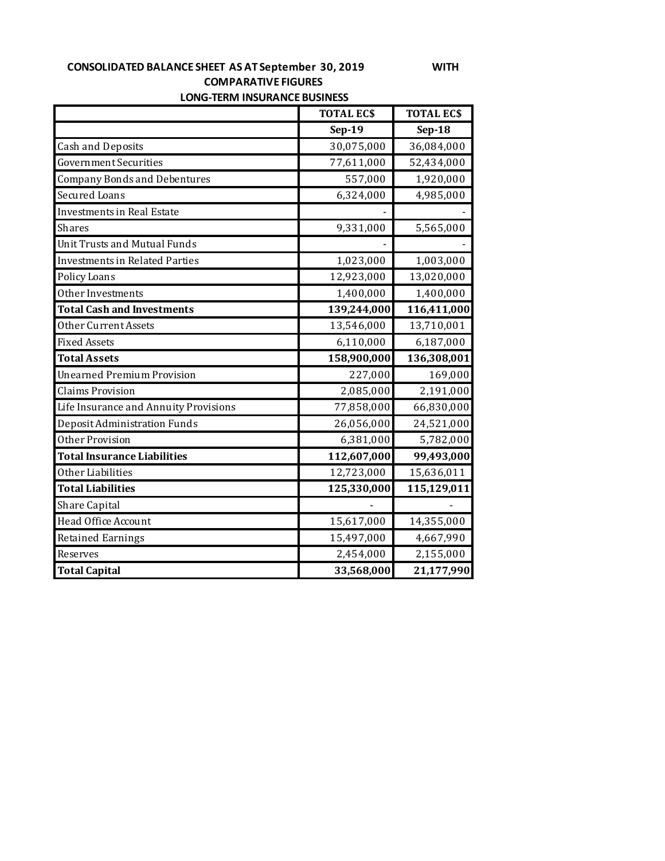# **CONSOLIDATED BALANCE SHEET AS AT September 30, 2019 WITH COMPARATIVE FIGURES**

|  | <b>LONG-TERM INSURANCE BUSINESS</b> |  |
|--|-------------------------------------|--|
|--|-------------------------------------|--|

|                                       | <b>TOTAL ECS</b> | <b>TOTAL EC\$</b> |
|---------------------------------------|------------------|-------------------|
|                                       | $Sep-19$         | $Sep-18$          |
| <b>Cash and Deposits</b>              | 30,075,000       | 36,084,000        |
| Government Securities                 | 77,611,000       | 52,434,000        |
| <b>Company Bonds and Debentures</b>   | 557,000          | 1,920,000         |
| <b>Secured Loans</b>                  | 6,324,000        | 4,985,000         |
| <b>Investments in Real Estate</b>     |                  |                   |
| <b>Shares</b>                         | 9,331,000        | 5,565,000         |
| <b>Unit Trusts and Mutual Funds</b>   |                  |                   |
| <b>Investments in Related Parties</b> | 1,023,000        | 1,003,000         |
| Policy Loans                          | 12,923,000       | 13,020,000        |
| Other Investments                     | 1,400,000        | 1,400,000         |
| <b>Total Cash and Investments</b>     | 139,244,000      | 116,411,000       |
| Other Current Assets                  | 13,546,000       | 13,710,001        |
| <b>Fixed Assets</b>                   | 6,110,000        | 6,187,000         |
| <b>Total Assets</b>                   | 158,900,000      | 136,308,001       |
| <b>Unearned Premium Provision</b>     | 227,000          | 169,000           |
| <b>Claims Provision</b>               | 2,085,000        | 2,191,000         |
| Life Insurance and Annuity Provisions | 77,858,000       | 66,830,000        |
| Deposit Administration Funds          | 26,056,000       | 24,521,000        |
| Other Provision                       | 6,381,000        | 5,782,000         |
| <b>Total Insurance Liabilities</b>    | 112,607,000      | 99,493,000        |
| Other Liabilities                     | 12,723,000       | 15,636,011        |
| <b>Total Liabilities</b>              | 125,330,000      | 115,129,011       |
| Share Capital                         |                  |                   |
| Head Office Account                   | 15,617,000       | 14,355,000        |
| <b>Retained Earnings</b>              | 15,497,000       | 4,667,990         |
| Reserves                              | 2,454,000        | 2,155,000         |
| <b>Total Capital</b>                  | 33,568,000       | 21,177,990        |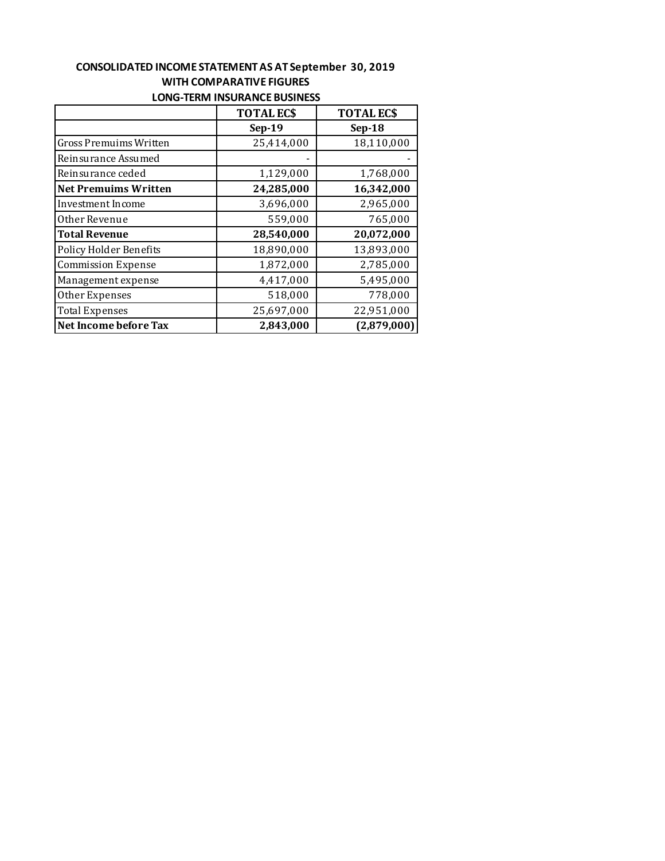## **CONSOLIDATED INCOME STATEMENT AS AT September 30, 2019 WITH COMPARATIVE FIGURES LONG-TERM INSURANCE BUSINESS**

|                             | <b>TOTAL ECS</b> | <b>TOTAL ECS</b> |
|-----------------------------|------------------|------------------|
|                             | $Sep-19$         | $Sep-18$         |
| Gross Premuims Written      | 25,414,000       | 18,110,000       |
| Reinsurance Assumed         |                  |                  |
| Reinsurance ceded           | 1,129,000        | 1,768,000        |
| <b>Net Premuims Written</b> | 24,285,000       | 16,342,000       |
| Investment Income           | 3,696,000        | 2,965,000        |
| Other Revenue               | 559,000          | 765,000          |
| <b>Total Revenue</b>        | 28,540,000       | 20,072,000       |
| Policy Holder Benefits      | 18,890,000       | 13,893,000       |
| <b>Commission Expense</b>   | 1,872,000        | 2,785,000        |
| Management expense          | 4,417,000        | 5,495,000        |
| Other Expenses              | 518,000          | 778,000          |
| <b>Total Expenses</b>       | 25,697,000       | 22,951,000       |
| Net Income before Tax       | 2,843,000        | (2,879,000)      |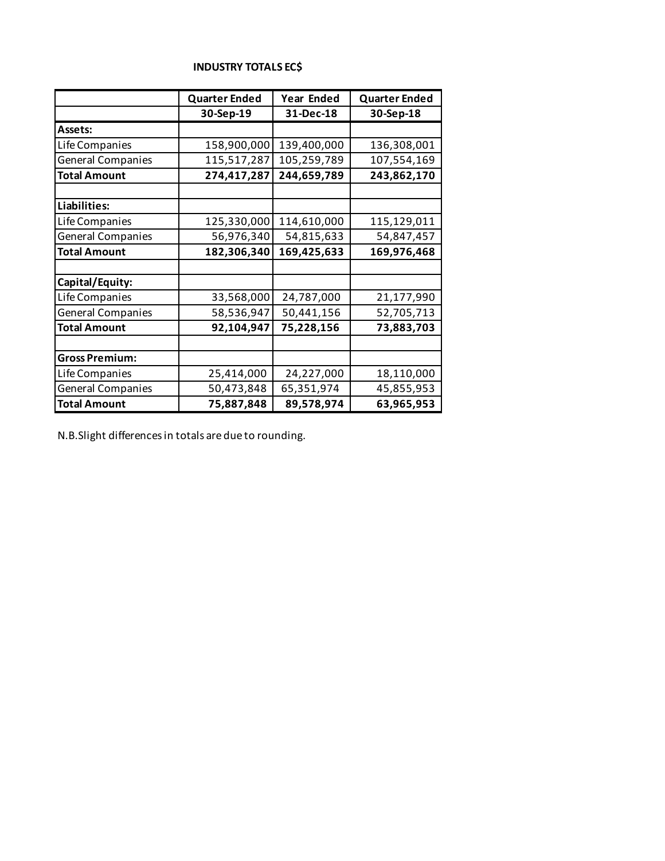## **INDUSTRY TOTALS EC\$**

|                          | <b>Quarter Ended</b> | Year Ended  | <b>Quarter Ended</b> |
|--------------------------|----------------------|-------------|----------------------|
|                          | 30-Sep-19            | 31-Dec-18   | 30-Sep-18            |
| Assets:                  |                      |             |                      |
| Life Companies           | 158,900,000          | 139,400,000 | 136,308,001          |
| <b>General Companies</b> | 115,517,287          | 105,259,789 | 107,554,169          |
| <b>Total Amount</b>      | 274,417,287          | 244,659,789 | 243,862,170          |
|                          |                      |             |                      |
| Liabilities:             |                      |             |                      |
| Life Companies           | 125,330,000          | 114,610,000 | 115,129,011          |
| <b>General Companies</b> | 56,976,340           | 54,815,633  | 54,847,457           |
| <b>Total Amount</b>      | 182,306,340          | 169,425,633 | 169,976,468          |
|                          |                      |             |                      |
| Capital/Equity:          |                      |             |                      |
| Life Companies           | 33,568,000           | 24,787,000  | 21,177,990           |
| <b>General Companies</b> | 58,536,947           | 50,441,156  | 52,705,713           |
| <b>Total Amount</b>      | 92,104,947           | 75,228,156  | 73,883,703           |
|                          |                      |             |                      |
| <b>Gross Premium:</b>    |                      |             |                      |
| Life Companies           | 25,414,000           | 24,227,000  | 18,110,000           |
| <b>General Companies</b> | 50,473,848           | 65,351,974  | 45,855,953           |
| <b>Total Amount</b>      | 75,887,848           | 89,578,974  | 63,965,953           |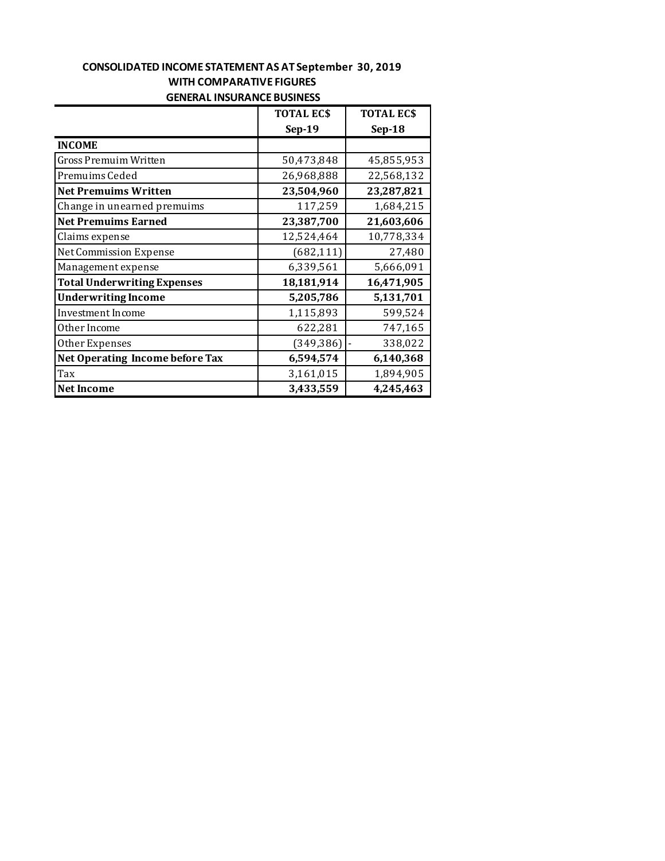## **CONSOLIDATED INCOME STATEMENT AS AT September 30, 2019 WITH COMPARATIVE FIGURES GENERAL INSURANCE BUSINESS**

|                                    | <b>TOTAL ECS</b> | <b>TOTAL ECS</b> |
|------------------------------------|------------------|------------------|
|                                    | $Sep-19$         | $Sep-18$         |
| <b>INCOME</b>                      |                  |                  |
| <b>Gross Premuim Written</b>       | 50,473,848       | 45,855,953       |
| Premuims Ceded                     | 26,968,888       | 22,568,132       |
| <b>Net Premuims Written</b>        | 23,504,960       | 23,287,821       |
| Change in unearned premuims        | 117,259          | 1,684,215        |
| <b>Net Premuims Earned</b>         | 23,387,700       | 21,603,606       |
| Claims expense                     | 12,524,464       | 10,778,334       |
| Net Commission Expense             | (682, 111)       | 27,480           |
| Management expense                 | 6,339,561        | 5,666,091        |
| <b>Total Underwriting Expenses</b> | 18,181,914       | 16,471,905       |
| <b>Underwriting Income</b>         | 5,205,786        | 5,131,701        |
| Investment Income                  | 1,115,893        | 599,524          |
| Other Income                       | 622,281          | 747,165          |
| Other Expenses                     | (349, 386)       | 338,022          |
| Net Operating Income before Tax    | 6,594,574        | 6,140,368        |
| Tax                                | 3,161,015        | 1,894,905        |
| <b>Net Income</b>                  | 3,433,559        | 4,245,463        |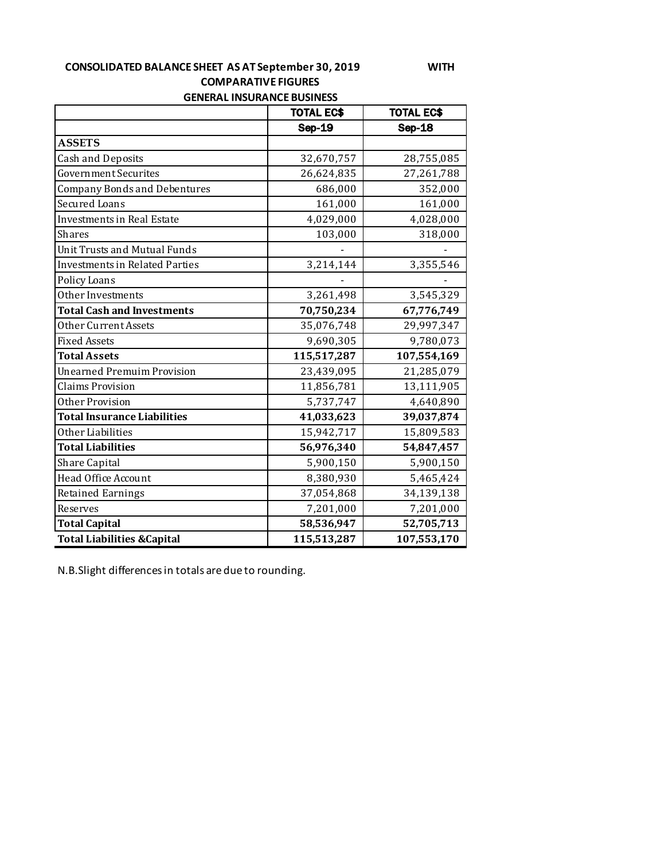#### **CONSOLIDATED BALANCE SHEET AS AT September 30, 2019 WITH COMPARATIVE FIGURES GENERAL INSURANCE BUSINESS**

|                                        | <b>TOTAL EC\$</b><br><b>TOTAL EC\$</b> |               |  |
|----------------------------------------|----------------------------------------|---------------|--|
|                                        | <b>Sep-19</b>                          | <b>Sep-18</b> |  |
| <b>ASSETS</b>                          |                                        |               |  |
| Cash and Deposits                      | 32,670,757                             | 28,755,085    |  |
| Government Securites                   | 26,624,835                             | 27,261,788    |  |
| <b>Company Bonds and Debentures</b>    | 686,000                                | 352,000       |  |
| Secured Loans                          | 161,000                                | 161,000       |  |
| Investments in Real Estate             | 4,029,000                              | 4,028,000     |  |
| <b>Shares</b>                          | 103,000                                | 318,000       |  |
| Unit Trusts and Mutual Funds           |                                        |               |  |
| <b>Investments in Related Parties</b>  | 3,214,144                              | 3,355,546     |  |
| Policy Loans                           |                                        |               |  |
| Other Investments                      | 3,261,498                              | 3,545,329     |  |
| <b>Total Cash and Investments</b>      | 70,750,234                             | 67,776,749    |  |
| Other Current Assets                   | 35,076,748                             | 29,997,347    |  |
| <b>Fixed Assets</b>                    | 9,690,305                              | 9,780,073     |  |
| <b>Total Assets</b>                    | 115,517,287                            | 107,554,169   |  |
| <b>Unearned Premuim Provision</b>      | 23,439,095                             | 21,285,079    |  |
| <b>Claims Provision</b>                | 11,856,781                             | 13,111,905    |  |
| Other Provision                        | 5,737,747                              | 4,640,890     |  |
| <b>Total Insurance Liabilities</b>     | 41,033,623                             | 39,037,874    |  |
| Other Liabilities                      | 15,942,717                             | 15,809,583    |  |
| <b>Total Liabilities</b>               | 56,976,340                             | 54,847,457    |  |
| Share Capital                          | 5,900,150                              | 5,900,150     |  |
| Head Office Account                    | 8,380,930                              | 5,465,424     |  |
| <b>Retained Earnings</b>               | 37,054,868                             | 34,139,138    |  |
| Reserves                               | 7,201,000                              | 7,201,000     |  |
| <b>Total Capital</b>                   | 58,536,947                             | 52,705,713    |  |
| <b>Total Liabilities &amp; Capital</b> | 115,513,287                            | 107,553,170   |  |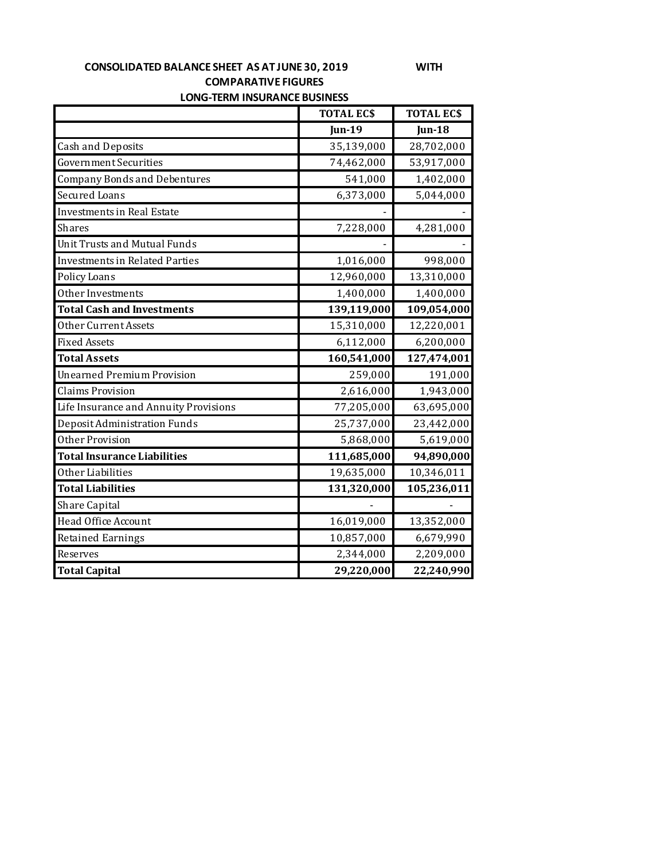# **CONSOLIDATED BALANCE SHEET AS AT JUNE 30, 2019 WITH COMPARATIVE FIGURES**

|  | LONG-TERM INSURANCE BUSINESS |  |
|--|------------------------------|--|
|--|------------------------------|--|

|                                       | <b>TOTAL ECS</b> | <b>TOTAL ECS</b> |
|---------------------------------------|------------------|------------------|
|                                       | <b>Jun-19</b>    | Jun-18           |
| <b>Cash and Deposits</b>              | 35,139,000       | 28,702,000       |
| <b>Government Securities</b>          | 74,462,000       | 53,917,000       |
| <b>Company Bonds and Debentures</b>   | 541,000          | 1,402,000        |
| Secured Loans                         | 6,373,000        | 5,044,000        |
| <b>Investments in Real Estate</b>     |                  |                  |
| Shares                                | 7,228,000        | 4,281,000        |
| <b>Unit Trusts and Mutual Funds</b>   |                  |                  |
| <b>Investments in Related Parties</b> | 1,016,000        | 998,000          |
| Policy Loans                          | 12,960,000       | 13,310,000       |
| Other Investments                     | 1,400,000        | 1,400,000        |
| <b>Total Cash and Investments</b>     | 139,119,000      | 109,054,000      |
| Other Current Assets                  | 15,310,000       | 12,220,001       |
| <b>Fixed Assets</b>                   | 6,112,000        | 6,200,000        |
| <b>Total Assets</b>                   | 160,541,000      | 127,474,001      |
| <b>Unearned Premium Provision</b>     | 259,000          | 191,000          |
| <b>Claims Provision</b>               | 2,616,000        | 1,943,000        |
| Life Insurance and Annuity Provisions | 77,205,000       | 63,695,000       |
| Deposit Administration Funds          | 25,737,000       | 23,442,000       |
| Other Provision                       | 5,868,000        | 5,619,000        |
| <b>Total Insurance Liabilities</b>    | 111,685,000      | 94,890,000       |
| Other Liabilities                     | 19,635,000       | 10,346,011       |
| <b>Total Liabilities</b>              | 131,320,000      | 105,236,011      |
| Share Capital                         |                  |                  |
| Head Office Account                   | 16,019,000       | 13,352,000       |
| <b>Retained Earnings</b>              | 10,857,000       | 6,679,990        |
| Reserves                              | 2,344,000        | 2,209,000        |
| <b>Total Capital</b>                  | 29,220,000       | 22,240,990       |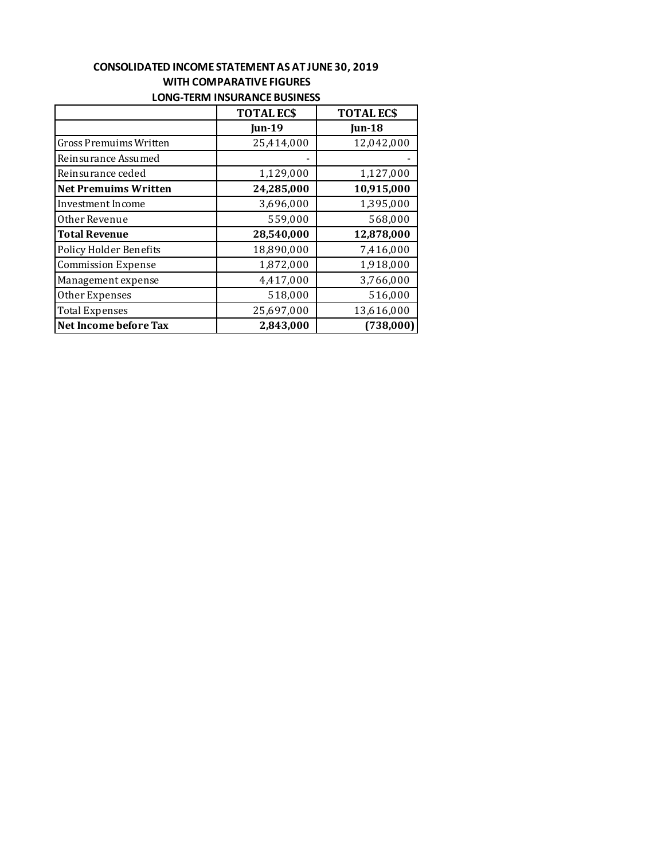#### **LONG-TERM INSURANCE BUSINESS CONSOLIDATED INCOME STATEMENT AS AT JUNE 30, 2019 WITH COMPARATIVE FIGURES**

|                             | <b>TOTAL ECS</b> | <b>TOTAL ECS</b>  |
|-----------------------------|------------------|-------------------|
|                             | <b>Jun-19</b>    | $\mathbf{u}$ n-18 |
| Gross Premuims Written      | 25,414,000       | 12,042,000        |
| Reinsurance Assumed         |                  |                   |
| Reinsurance ceded           | 1,129,000        | 1,127,000         |
| <b>Net Premuims Written</b> | 24,285,000       | 10,915,000        |
| Investment Income           | 3,696,000        | 1,395,000         |
| Other Revenue               | 559,000          | 568,000           |
| <b>Total Revenue</b>        | 28,540,000       | 12,878,000        |
| Policy Holder Benefits      | 18,890,000       | 7,416,000         |
| <b>Commission Expense</b>   | 1,872,000        | 1,918,000         |
| Management expense          | 4,417,000        | 3,766,000         |
| Other Expenses              | 518,000          | 516,000           |
| <b>Total Expenses</b>       | 25,697,000       | 13,616,000        |
| Net Income before Tax       | 2,843,000        | (738,000)         |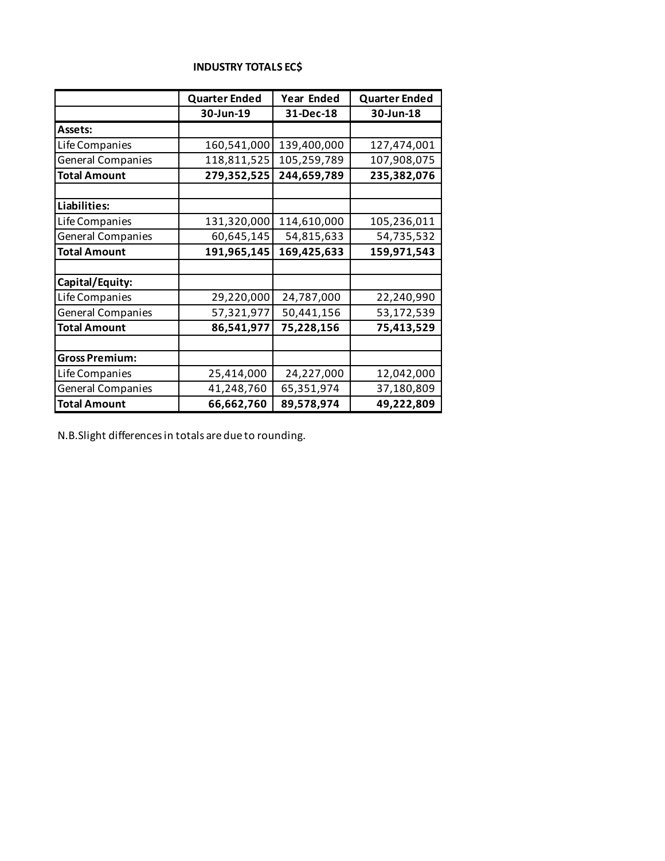|  | <b>INDUSTRY TOTALS EC\$</b> |
|--|-----------------------------|
|--|-----------------------------|

|                          | <b>Quarter Ended</b> | Year Ended  | <b>Quarter Ended</b> |
|--------------------------|----------------------|-------------|----------------------|
|                          | 30-Jun-19            | 31-Dec-18   | 30-Jun-18            |
| Assets:                  |                      |             |                      |
| Life Companies           | 160,541,000          | 139,400,000 | 127,474,001          |
| <b>General Companies</b> | 118,811,525          | 105,259,789 | 107,908,075          |
| <b>Total Amount</b>      | 279,352,525          | 244,659,789 | 235,382,076          |
|                          |                      |             |                      |
| Liabilities:             |                      |             |                      |
| Life Companies           | 131,320,000          | 114,610,000 | 105,236,011          |
| <b>General Companies</b> | 60,645,145           | 54,815,633  | 54,735,532           |
| <b>Total Amount</b>      | 191,965,145          | 169,425,633 | 159,971,543          |
|                          |                      |             |                      |
| Capital/Equity:          |                      |             |                      |
| Life Companies           | 29,220,000           | 24,787,000  | 22,240,990           |
| <b>General Companies</b> | 57,321,977           | 50,441,156  | 53,172,539           |
| <b>Total Amount</b>      | 86,541,977           | 75,228,156  | 75,413,529           |
|                          |                      |             |                      |
| <b>Gross Premium:</b>    |                      |             |                      |
| Life Companies           | 25,414,000           | 24,227,000  | 12,042,000           |
| <b>General Companies</b> | 41,248,760           | 65,351,974  | 37,180,809           |
| <b>Total Amount</b>      | 66,662,760           | 89,578,974  | 49,222,809           |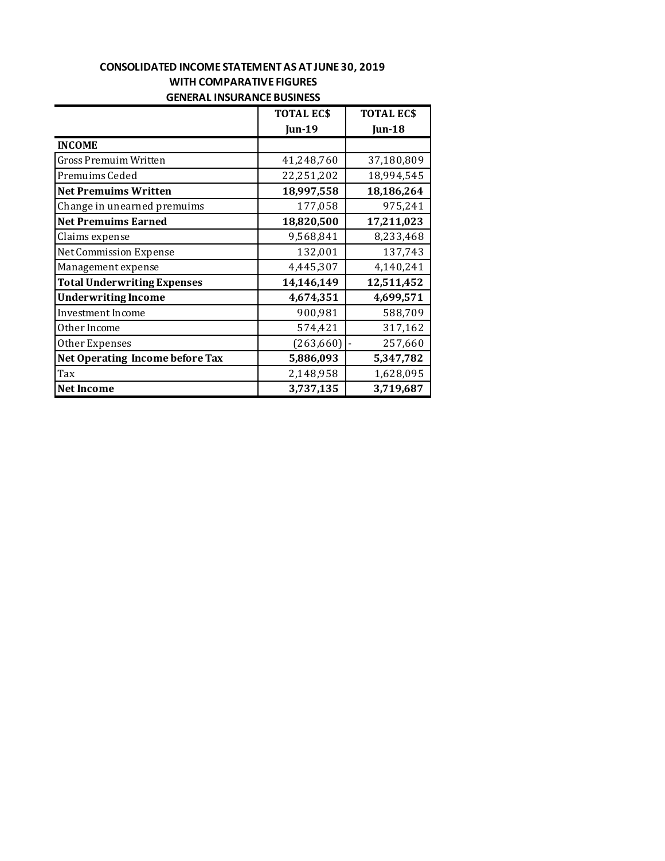## **GENERAL INSURANCE BUSINESS CONSOLIDATED INCOME STATEMENT AS AT JUNE 30, 2019 WITH COMPARATIVE FIGURES**

|                                    | <b>TOTAL ECS</b> | <b>TOTAL ECS</b> |
|------------------------------------|------------------|------------------|
|                                    | <b>Jun-19</b>    | Jun-18           |
| <b>INCOME</b>                      |                  |                  |
| Gross Premuim Written              | 41,248,760       | 37,180,809       |
| Premuims Ceded                     | 22,251,202       | 18,994,545       |
| <b>Net Premuims Written</b>        | 18,997,558       | 18,186,264       |
| Change in unearned premuims        | 177,058          | 975,241          |
| <b>Net Premuims Earned</b>         | 18,820,500       | 17,211,023       |
| Claims expense                     | 9,568,841        | 8,233,468        |
| <b>Net Commission Expense</b>      | 132,001          | 137,743          |
| Management expense                 | 4,445,307        | 4,140,241        |
| <b>Total Underwriting Expenses</b> | 14,146,149       | 12,511,452       |
| <b>Underwriting Income</b>         | 4,674,351        | 4,699,571        |
| Investment Income                  | 900,981          | 588,709          |
| Other Income                       | 574,421          | 317,162          |
| Other Expenses                     | (263, 660)       | 257,660          |
| Net Operating Income before Tax    | 5,886,093        | 5,347,782        |
| Tax                                | 2,148,958        | 1,628,095        |
| <b>Net Income</b>                  | 3,737,135        | 3,719,687        |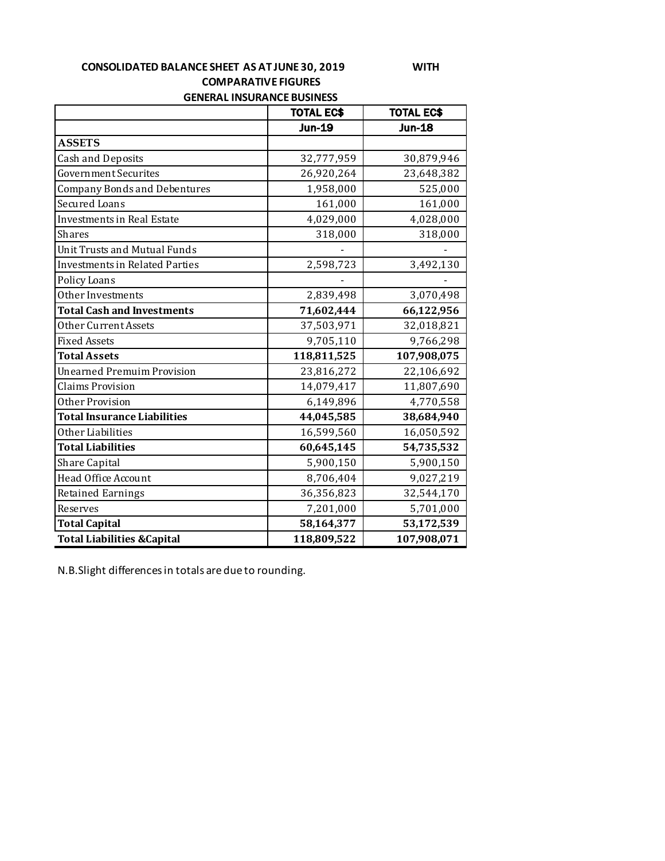**GENERAL INSURANCE BUSINESS CONSOLIDATED BALANCE SHEET AS AT JUNE 30, 2019 WITH COMPARATIVE FIGURES** 

|                                        | <b>TOTAL EC\$</b> | <b>TOTAL EC\$</b> |
|----------------------------------------|-------------------|-------------------|
|                                        | <b>Jun-19</b>     | <b>Jun-18</b>     |
| <b>ASSETS</b>                          |                   |                   |
| <b>Cash and Deposits</b>               | 32,777,959        | 30,879,946        |
| <b>Government Securites</b>            | 26,920,264        | 23,648,382        |
| <b>Company Bonds and Debentures</b>    | 1,958,000         | 525,000           |
| Secured Loans                          | 161,000           | 161,000           |
| <b>Investments in Real Estate</b>      | 4,029,000         | 4,028,000         |
| <b>Shares</b>                          | 318,000           | 318,000           |
| <b>Unit Trusts and Mutual Funds</b>    |                   |                   |
| <b>Investments in Related Parties</b>  | 2,598,723         | 3,492,130         |
| Policy Loans                           |                   |                   |
| Other Investments                      | 2,839,498         | 3,070,498         |
| <b>Total Cash and Investments</b>      | 71,602,444        | 66,122,956        |
| Other Current Assets                   | 37,503,971        | 32,018,821        |
| <b>Fixed Assets</b>                    | 9,705,110         | 9,766,298         |
| <b>Total Assets</b>                    | 118,811,525       | 107,908,075       |
| <b>Unearned Premuim Provision</b>      | 23,816,272        | 22,106,692        |
| <b>Claims Provision</b>                | 14,079,417        | 11,807,690        |
| Other Provision                        | 6,149,896         | 4,770,558         |
| <b>Total Insurance Liabilities</b>     | 44,045,585        | 38,684,940        |
| Other Liabilities                      | 16,599,560        | 16,050,592        |
| <b>Total Liabilities</b>               | 60,645,145        | 54,735,532        |
| <b>Share Capital</b>                   | 5,900,150         | 5,900,150         |
| Head Office Account                    | 8,706,404         | 9,027,219         |
| <b>Retained Earnings</b>               | 36,356,823        | 32,544,170        |
| Reserves                               | 7,201,000         | 5,701,000         |
| <b>Total Capital</b>                   | 58,164,377        | 53,172,539        |
| <b>Total Liabilities &amp; Capital</b> | 118,809,522       | 107,908,071       |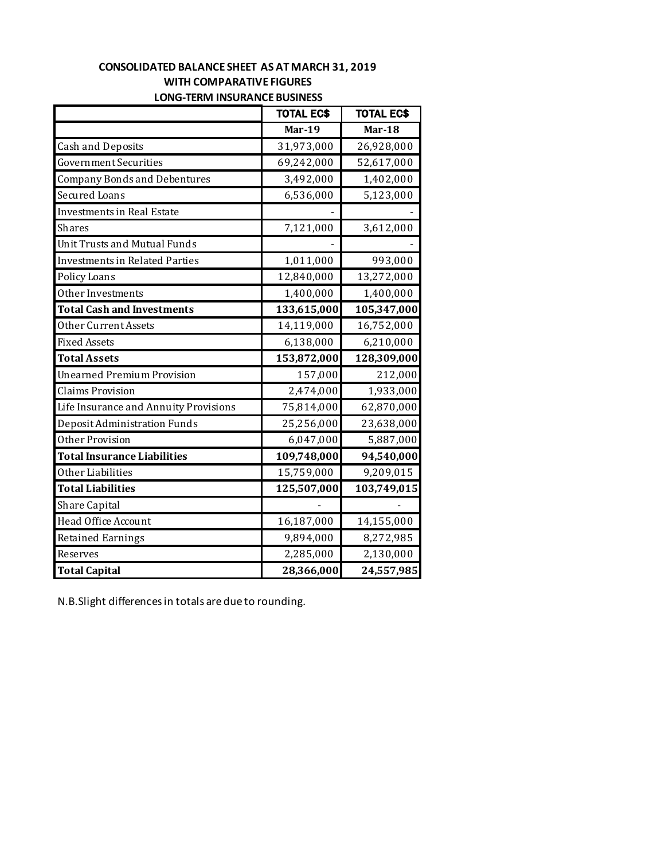## **CONSOLIDATED BALANCE SHEET AS AT MARCH 31, 2019 WITH COMPARATIVE FIGURES LONG-TERM INSURANCE BUSINESS**

|                                       | <b>TOTAL EC\$</b> | <b>TOTAL EC\$</b> |
|---------------------------------------|-------------------|-------------------|
|                                       | <b>Mar-19</b>     | <b>Mar-18</b>     |
| <b>Cash and Deposits</b>              | 31,973,000        | 26,928,000        |
| Government Securities                 | 69,242,000        | 52,617,000        |
| <b>Company Bonds and Debentures</b>   | 3,492,000         | 1,402,000         |
| <b>Secured Loans</b>                  | 6,536,000         | 5,123,000         |
| Investments in Real Estate            |                   |                   |
| <b>Shares</b>                         | 7,121,000         | 3,612,000         |
| Unit Trusts and Mutual Funds          |                   |                   |
| <b>Investments in Related Parties</b> | 1,011,000         | 993,000           |
| Policy Loans                          | 12,840,000        | 13,272,000        |
| Other Investments                     | 1,400,000         | 1,400,000         |
| <b>Total Cash and Investments</b>     | 133,615,000       | 105,347,000       |
| Other Current Assets                  | 14,119,000        | 16,752,000        |
| <b>Fixed Assets</b>                   | 6,138,000         | 6,210,000         |
| <b>Total Assets</b>                   | 153,872,000       | 128,309,000       |
| <b>Unearned Premium Provision</b>     | 157,000           | 212,000           |
| <b>Claims Provision</b>               | 2,474,000         | 1,933,000         |
| Life Insurance and Annuity Provisions | 75,814,000        | 62,870,000        |
| Deposit Administration Funds          | 25,256,000        | 23,638,000        |
| Other Provision                       | 6,047,000         | 5,887,000         |
| <b>Total Insurance Liabilities</b>    | 109,748,000       | 94,540,000        |
| Other Liabilities                     | 15,759,000        | 9,209,015         |
| <b>Total Liabilities</b>              | 125,507,000       | 103,749,015       |
| Share Capital                         |                   |                   |
| Head Office Account                   | 16,187,000        | 14,155,000        |
| <b>Retained Earnings</b>              | 9,894,000         | 8,272,985         |
| Reserves                              | 2,285,000         | 2,130,000         |
| <b>Total Capital</b>                  | 28,366,000        | 24,557,985        |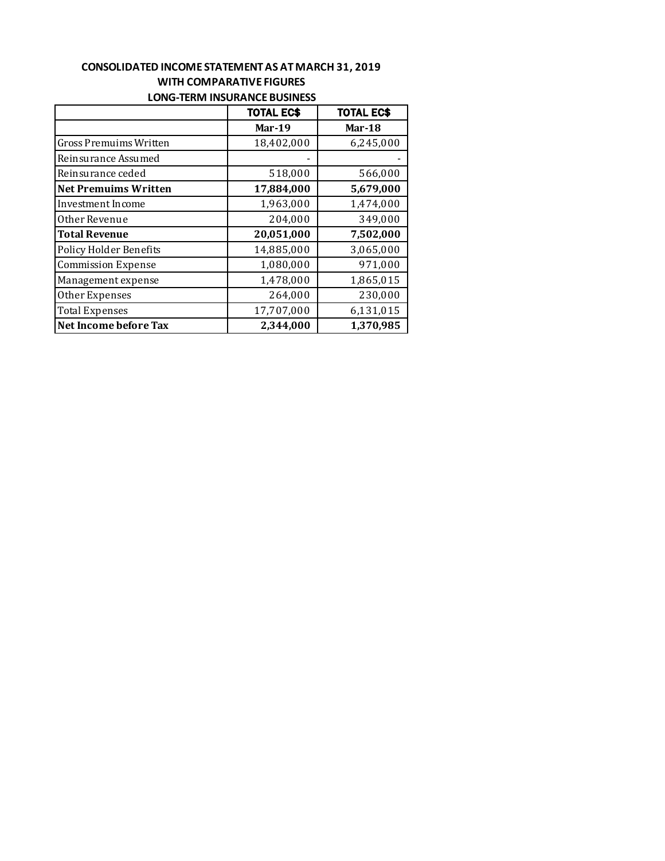#### **CONSOLIDATED INCOME STATEMENT AS AT MARCH 31, 2019 WITH COMPARATIVE FIGURES LONG-TERM INSURANCE BUSINESS**

|                               | <b>TOTAL EC\$</b> | <b>TOTAL EC\$</b> |
|-------------------------------|-------------------|-------------------|
|                               | Mar-19            | Mar-18            |
| Gross Premuims Written        | 18,402,000        | 6,245,000         |
| Reinsurance Assumed           |                   |                   |
| Reinsurance ceded             | 518,000           | 566,000           |
| Net Premuims Written          | 17,884,000        | 5,679,000         |
| Investment Income             | 1,963,000         | 1,474,000         |
| Other Revenue                 | 204,000           | 349,000           |
| <b>Total Revenue</b>          | 20,051,000        | 7,502,000         |
| <b>Policy Holder Benefits</b> | 14,885,000        | 3,065,000         |
| <b>Commission Expense</b>     | 1,080,000         | 971,000           |
| Management expense            | 1,478,000         | 1,865,015         |
| Other Expenses                | 264,000           | 230,000           |
| <b>Total Expenses</b>         | 17,707,000        | 6,131,015         |
| Net Income before Tax         | 2,344,000         | 1,370,985         |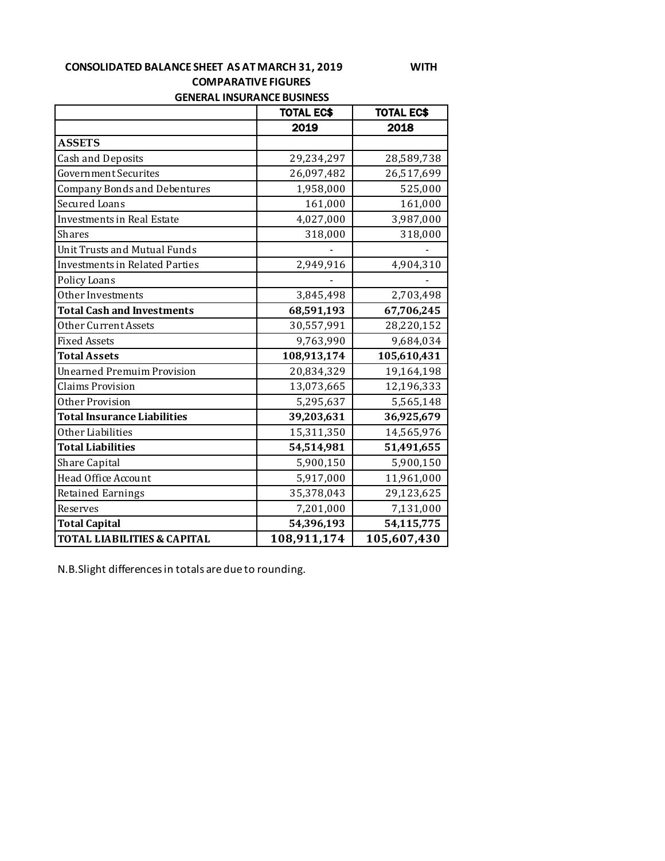## **CONSOLIDATED BALANCE SHEET AS AT MARCH 31, 2019 WITH COMPARATIVE FIGURES GENERAL INSURANCE BUSINESS**

|                                        | <b>TOTAL EC\$</b> | <b>TOTAL EC\$</b> |
|----------------------------------------|-------------------|-------------------|
|                                        | 2019              | 2018              |
| <b>ASSETS</b>                          |                   |                   |
| <b>Cash and Deposits</b>               | 29,234,297        | 28,589,738        |
| <b>Government Securites</b>            | 26,097,482        | 26,517,699        |
| <b>Company Bonds and Debentures</b>    | 1,958,000         | 525,000           |
| <b>Secured Loans</b>                   | 161,000           | 161,000           |
| <b>Investments in Real Estate</b>      | 4,027,000         | 3,987,000         |
| <b>Shares</b>                          | 318,000           | 318,000           |
| <b>Unit Trusts and Mutual Funds</b>    |                   |                   |
| <b>Investments in Related Parties</b>  | 2,949,916         | 4,904,310         |
| Policy Loans                           |                   |                   |
| Other Investments                      | 3,845,498         | 2,703,498         |
| <b>Total Cash and Investments</b>      | 68,591,193        | 67,706,245        |
| Other Current Assets                   | 30,557,991        | 28,220,152        |
| <b>Fixed Assets</b>                    | 9,763,990         | 9,684,034         |
| <b>Total Assets</b>                    | 108,913,174       | 105,610,431       |
| <b>Unearned Premuim Provision</b>      | 20,834,329        | 19,164,198        |
| <b>Claims Provision</b>                | 13,073,665        | 12,196,333        |
| Other Provision                        | 5,295,637         | 5,565,148         |
| <b>Total Insurance Liabilities</b>     | 39,203,631        | 36,925,679        |
| Other Liabilities                      | 15,311,350        | 14,565,976        |
| <b>Total Liabilities</b>               | 54,514,981        | 51,491,655        |
| <b>Share Capital</b>                   | 5,900,150         | 5,900,150         |
| Head Office Account                    | 5,917,000         | 11,961,000        |
| <b>Retained Earnings</b>               | 35,378,043        | 29,123,625        |
| Reserves                               | 7,201,000         | 7,131,000         |
| <b>Total Capital</b>                   | 54,396,193        | 54,115,775        |
| <b>TOTAL LIABILITIES &amp; CAPITAL</b> | 108,911,174       | 105,607,430       |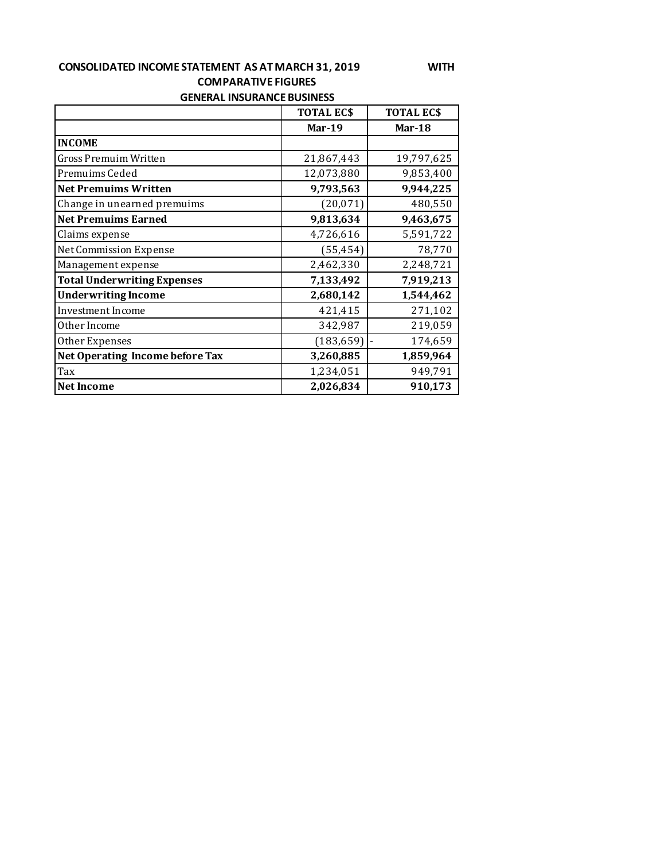#### **CONSOLIDATED INCOME STATEMENT AS AT MARCH 31, 2019 WITH COMPARATIVE FIGURES GENERAL INSURANCE BUSINESS**

|                                    | <b>TOTAL ECS</b> | <b>TOTAL ECS</b> |
|------------------------------------|------------------|------------------|
|                                    | <b>Mar-19</b>    | Mar-18           |
| <b>INCOME</b>                      |                  |                  |
| <b>Gross Premuim Written</b>       | 21,867,443       | 19,797,625       |
| Premuims Ceded                     | 12,073,880       | 9,853,400        |
| <b>Net Premuims Written</b>        | 9,793,563        | 9,944,225        |
| Change in unearned premuims        | (20,071)         | 480,550          |
| <b>Net Premuims Earned</b>         | 9,813,634        | 9,463,675        |
| Claims expense                     | 4,726,616        | 5,591,722        |
| <b>Net Commission Expense</b>      | (55, 454)        | 78,770           |
| Management expense                 | 2,462,330        | 2,248,721        |
| <b>Total Underwriting Expenses</b> | 7,133,492        | 7,919,213        |
| <b>Underwriting Income</b>         | 2,680,142        | 1,544,462        |
| Investment Income                  | 421,415          | 271,102          |
| Other Income                       | 342,987          | 219,059          |
| Other Expenses                     | (183, 659)       | 174,659          |
| Net Operating Income before Tax    | 3,260,885        | 1,859,964        |
| Tax                                | 1,234,051        | 949,791          |
| <b>Net Income</b>                  | 2,026,834        | 910,173          |